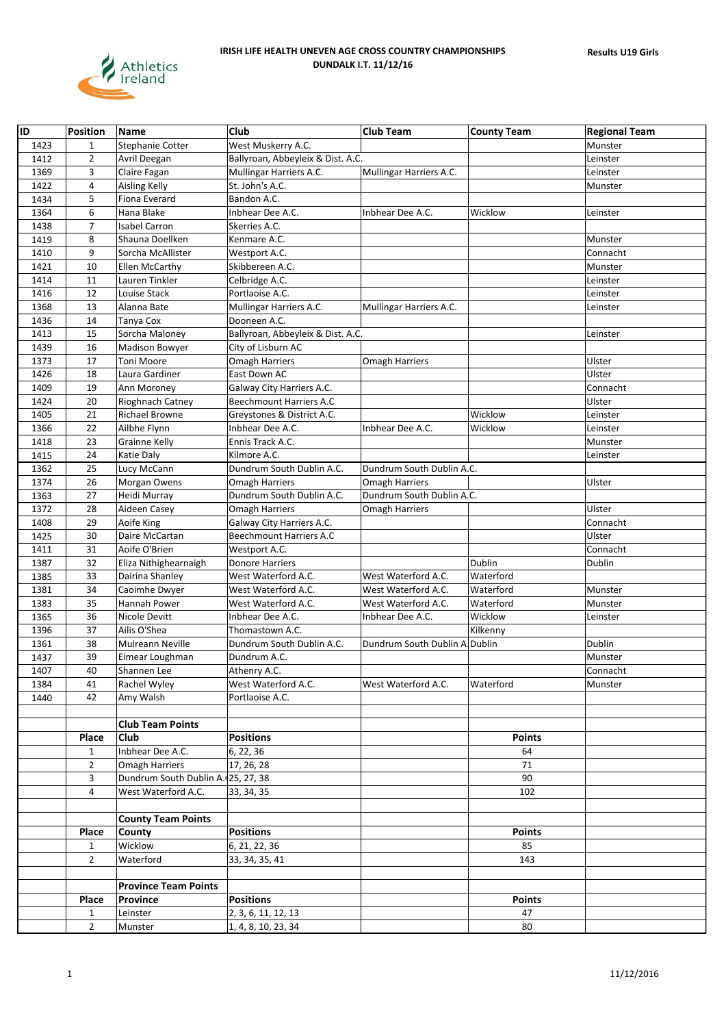

| ID   | <b>Position</b> | Name                                | Club                              | <b>Club Team</b>              | <b>County Team</b> | <b>Regional Team</b> |
|------|-----------------|-------------------------------------|-----------------------------------|-------------------------------|--------------------|----------------------|
| 1423 | 1               | Stephanie Cotter                    | West Muskerry A.C.                |                               |                    | Munster              |
| 1412 | $\overline{2}$  | Avril Deegan                        | Ballyroan, Abbeyleix & Dist. A.C. |                               |                    | Leinster             |
| 1369 | 3               | Claire Fagan                        | Mullingar Harriers A.C.           | Mullingar Harriers A.C.       |                    | Leinster             |
| 1422 | 4               | Aisling Kelly                       | St. John's A.C.                   |                               |                    | Munster              |
| 1434 | 5               | Fiona Everard                       | Bandon A.C.                       |                               |                    |                      |
| 1364 | 6               | Hana Blake                          | Inbhear Dee A.C.                  | Inbhear Dee A.C.              | Wicklow            | Leinster             |
| 1438 | $\overline{7}$  | <b>Isabel Carron</b>                | Skerries A.C.                     |                               |                    |                      |
| 1419 | 8               | Shauna Doellken                     | Kenmare A.C.                      |                               |                    | Munster              |
| 1410 | 9               | Sorcha McAllister                   | Westport A.C.                     |                               |                    | Connacht             |
| 1421 | 10              | Ellen McCarthy                      | Skibbereen A.C.                   |                               |                    | Munster              |
| 1414 | 11              | Lauren Tinkler                      | Celbridge A.C.                    |                               |                    | Leinster             |
| 1416 | 12              | Louise Stack                        | Portlaoise A.C.                   |                               |                    | Leinster             |
| 1368 | 13              | Alanna Bate                         | Mullingar Harriers A.C.           | Mullingar Harriers A.C.       |                    | Leinster             |
| 1436 | 14              | Tanya Cox                           | Dooneen A.C.                      |                               |                    |                      |
| 1413 | 15              | Sorcha Maloney                      | Ballyroan, Abbeyleix & Dist. A.C. |                               |                    | Leinster             |
| 1439 | 16              | Madison Bowyer                      | City of Lisburn AC                |                               |                    |                      |
| 1373 | 17              | Toni Moore                          | <b>Omagh Harriers</b>             | <b>Omagh Harriers</b>         |                    | Ulster               |
| 1426 | 18              | Laura Gardiner                      | East Down AC                      |                               |                    | Ulster               |
| 1409 | 19              | Ann Moroney                         | Galway City Harriers A.C.         |                               |                    | Connacht             |
| 1424 | 20              | Rioghnach Catney                    | <b>Beechmount Harriers A.C</b>    |                               |                    | Ulster               |
| 1405 | 21              | <b>Richael Browne</b>               | Greystones & District A.C.        |                               | Wicklow            | Leinster             |
| 1366 | 22              | Ailbhe Flynn                        | Inbhear Dee A.C.                  | Inbhear Dee A.C.              | Wicklow            | Leinster             |
| 1418 | 23              | Grainne Kelly                       | Ennis Track A.C.                  |                               |                    | Munster              |
| 1415 | 24              | Katie Daly                          | Kilmore A.C.                      |                               |                    | Leinster             |
| 1362 | 25              | Lucy McCann                         | Dundrum South Dublin A.C.         | Dundrum South Dublin A.C.     |                    |                      |
| 1374 | 26              | Morgan Owens                        | Omagh Harriers                    | <b>Omagh Harriers</b>         |                    | Ulster               |
| 1363 | 27              | Heidi Murray                        | Dundrum South Dublin A.C.         | Dundrum South Dublin A.C.     |                    |                      |
| 1372 | 28              | Aideen Casey                        | Omagh Harriers                    | <b>Omagh Harriers</b>         |                    | Ulster               |
| 1408 | 29              | Aoife King                          | Galway City Harriers A.C.         |                               |                    | Connacht             |
| 1425 | 30              | Daire McCartan                      | Beechmount Harriers A.C           |                               |                    | Ulster               |
| 1411 | 31              | Aoife O'Brien                       | Westport A.C.                     |                               |                    | Connacht             |
| 1387 | 32              | Eliza Nithighearnaigh               | Donore Harriers                   |                               | Dublin             | Dublin               |
| 1385 | 33              | Dairina Shanley                     | West Waterford A.C.               | West Waterford A.C.           | Waterford          |                      |
| 1381 | 34              | Caoimhe Dwyer                       | West Waterford A.C.               | West Waterford A.C.           | Waterford          | Munster              |
| 1383 | 35              | Hannah Power                        | West Waterford A.C.               | West Waterford A.C.           | Waterford          | Munster              |
| 1365 | 36              | Nicole Devitt                       | Inbhear Dee A.C.                  | Inbhear Dee A.C.              | Wicklow            | Leinster             |
| 1396 | 37              | Ailis O'Shea                        | Thomastown A.C.                   |                               | Kilkenny           |                      |
| 1361 | 38              | Muireann Neville                    | Dundrum South Dublin A.C.         | Dundrum South Dublin A Dublin |                    | Dublin               |
| 1437 | 39              | Eimear Loughman                     | Dundrum A.C.                      |                               |                    | Munster              |
| 1407 | 40              | Shannen Lee                         | Athenry A.C.                      |                               |                    | Connacht             |
| 1384 | 41              | Rachel Wyley                        | West Waterford A.C.               | West Waterford A.C.           | Waterford          | Munster              |
| 1440 | 42              | Amy Walsh                           | Portlaoise A.C.                   |                               |                    |                      |
|      |                 |                                     |                                   |                               |                    |                      |
|      |                 | <b>Club Team Points</b>             |                                   |                               |                    |                      |
|      | Place           | Club                                | <b>Positions</b>                  |                               | <b>Points</b>      |                      |
|      | $\mathbf{1}$    | Inbhear Dee A.C.                    | 6, 22, 36                         |                               | 64                 |                      |
|      | $\overline{2}$  | <b>Omagh Harriers</b>               | 17, 26, 28                        |                               | 71                 |                      |
|      | 3               | Dundrum South Dublin A. (25, 27, 38 |                                   |                               | 90                 |                      |
|      | $\overline{4}$  | West Waterford A.C.                 | 33, 34, 35                        |                               | 102                |                      |
|      |                 |                                     |                                   |                               |                    |                      |
|      |                 | <b>County Team Points</b>           |                                   |                               |                    |                      |
|      | Place           | County                              | <b>Positions</b>                  |                               | <b>Points</b>      |                      |
|      | $\mathbf{1}$    | Wicklow                             | 6, 21, 22, 36                     |                               | 85                 |                      |
|      | $\overline{2}$  | Waterford                           | 33, 34, 35, 41                    |                               | 143                |                      |
|      |                 |                                     |                                   |                               |                    |                      |
|      |                 | <b>Province Team Points</b>         |                                   |                               |                    |                      |
|      | Place           | <b>Province</b>                     | <b>Positions</b>                  |                               | <b>Points</b>      |                      |
|      | $\mathbf{1}$    | Leinster                            | 2, 3, 6, 11, 12, 13               |                               | 47                 |                      |
|      | $\overline{2}$  | Munster                             | 1, 4, 8, 10, 23, 34               |                               | 80                 |                      |